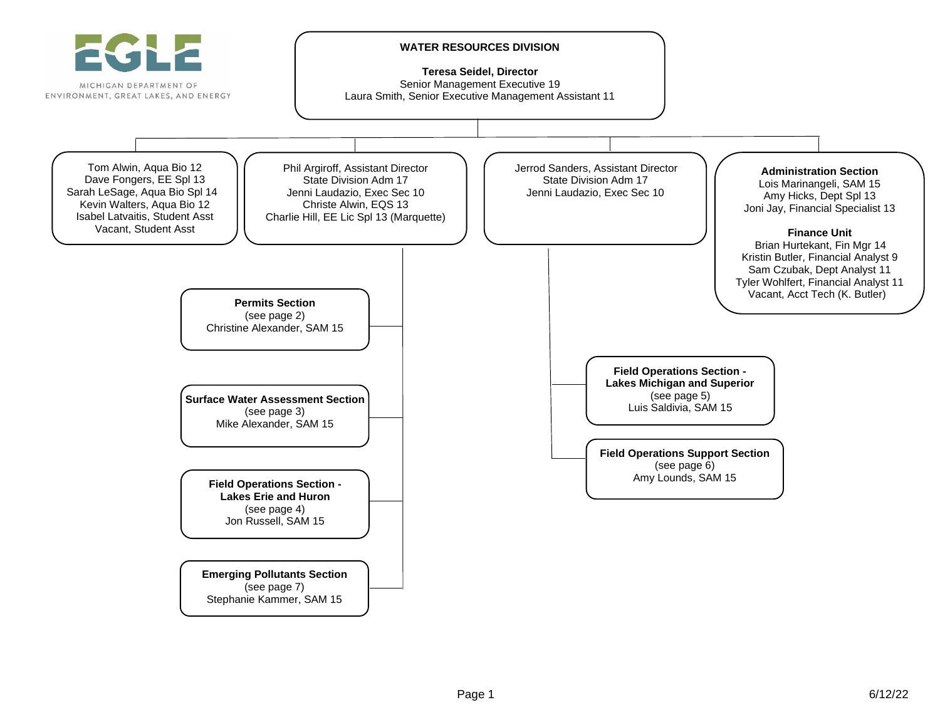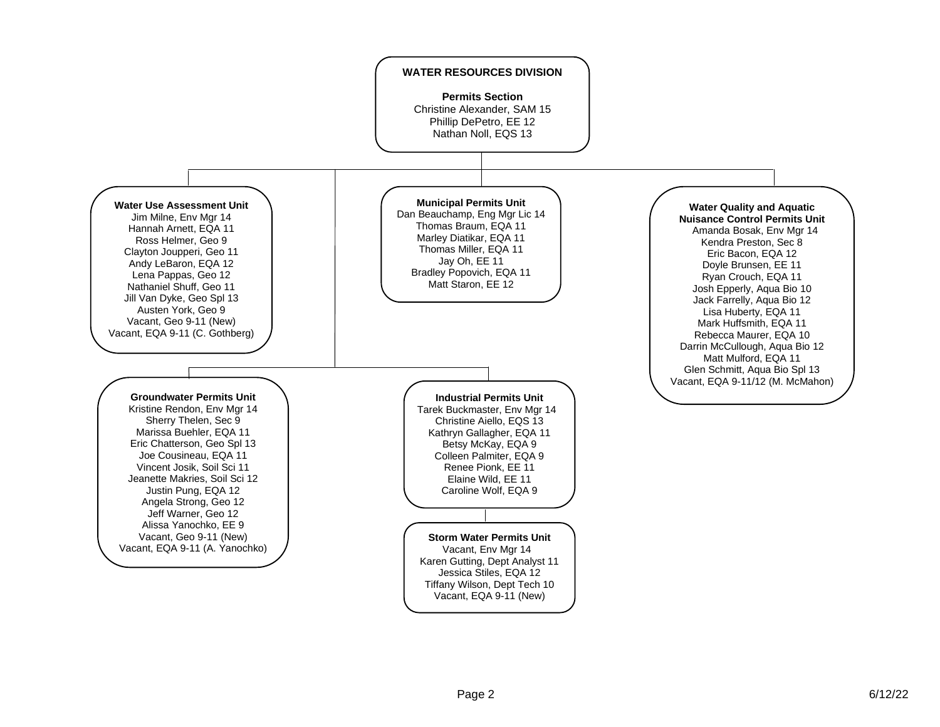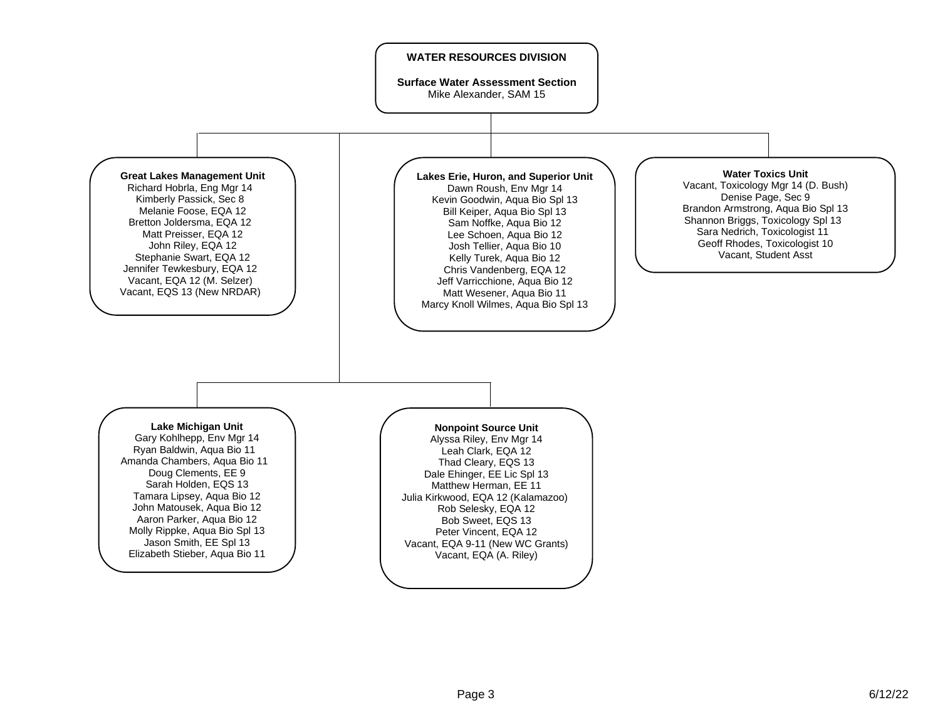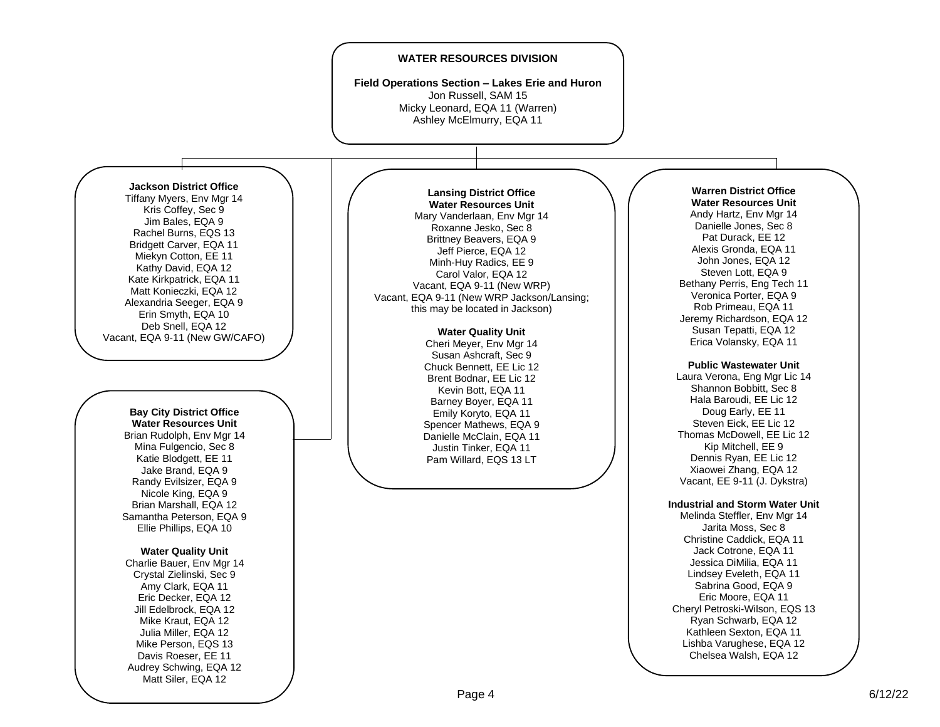## **WATER RESOURCES DIVISION**

**Field Operations Section – Lakes Erie and Huron** Jon Russell, SAM 15 Micky Leonard, EQA 11 (Warren) Ashley McElmurry, EQA 11

## **Jackson District Office**

Tiffany Myers, Eny Mgr 14 Kris Coffey, Sec 9 Jim Bales, EQA 9 Rachel Burns, EQ S 13 Bridgett Carver, EQA 1 1 Miekyn Cotton, EE 11 Kathy David, EQA 12 Kate Kirkpatrick, EQA 1 1 Matt Konieczki, EQA 12 Alexandria Seeger, EQA 9 Erin Smyth, EQA 10 Deb Snell, EQA 12 Vacant, EQA 9 -11 (New GW/CAFO)

#### **Bay City District Office Water Resources Unit**

Brian Rudolph, Env Mgr 14 Mina Fulgencio, Sec 8 Katie Blodgett, EE 11 Jake Brand, EQA 9 Randy Evilsizer, EQA 9 Nicole King, EQA 9 Brian Marshall, EQA 12 Samantha Peterson, EQA 9 Ellie Phillips, EQA 10

### **Water Quality Unit**

Charlie Bauer, Env Mgr 14 Crystal Zielinski, Sec 9 Amy Clark, EQA 11 Eric Decker, EQA 12 Jill Edelbrock, EQA 12 Mike Kraut, EQA 12 Julia Miller, EQA 12 Mike Person, EQS 13 Davis Roeser, EE 11 Audrey Schwing, EQA 12 Matt Siler, EQA 12

## **Lansing District Office Water Resources Unit** Mary Vanderlaan, Env Mgr 14

Roxanne Jesko, Sec 8 Brittney Beavers, EQA 9 Jeff Pierce, EQA 1 2 Minh -Huy Radics, EE 9 Carol Valor, EQA 12 Vacant, EQA 9-11 (New WRP) Vacant, EQA 9 -11 (New WRP Jackson/Lansing; this may be located in Jackson )

## **Water Quality Unit**

Cheri Meyer, Env Mgr 14 Susan Ashcraft, Sec 9 Chuck Bennett, EE Lic 12 Brent Bodnar, EE Lic 12 Kevin Bott, EQA 11 Barney Boyer, EQA 1 1 Emily Koryto, EQA 11 Spencer Mathews, EQA 9 Danielle McClain, EQA 11 Justin Tinker, EQA 11 Pam Willard, EQ S 13 LT

#### **Warren District Office Water Resources Unit**

Andy Hartz, Env Mgr 14 Danielle Jones, Sec 8 Pat Durack, EE 12 Alexis Gronda, EQA 11 John Jones, EQA 12 Steven Lott, EQA 9 Bethany Perris, Eng Tech 11 Veronica Porter, EQA 9 Rob Primeau, EQA 1 1 Jeremy Richardson, EQA 12 Susan Tepatti, EQA 12 Erica Volansky, EQA 11

## **Public Wastewater Unit**

Laura Verona, En g Mgr Lic 14 Shannon Bobbitt, Sec 8 Hala Baroudi, EE Lic 12 Doug Early, EE 11 Steven Eick, EE Lic 12 Thomas McDowell, EE Lic 12 Kip Mitchell, EE 9 Dennis Ryan, EE Lic 12 Xiaowei Zhang, EQA 1 2 Vacant, EE 9 -11 (J. Dykstra)

## **Industrial and Storm Water Unit**

Melinda Steffler, Env Mgr 14 Jarita Moss, Sec 8 Christine Caddick, EQA 11 Jack Cotrone, EQA 11 Jessica DiMilia, EQA 11 Lindsey Eveleth, EQA 11 Sabrina Good, EQA 9 Eric Moore, EQA 11 Cheryl Petroski -Wilson, EQS 13 Ryan Schwarb, EQA 12 Kathleen Sexton, EQA 11 Lishba Varughese, EQA 12 Chelsea Walsh, EQA 1 2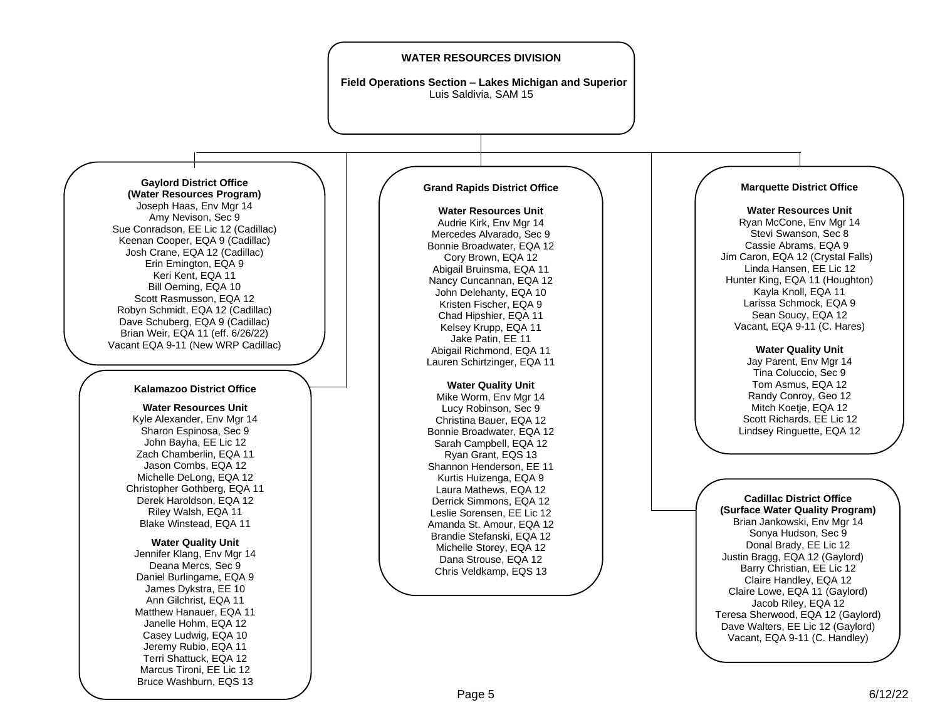## **WATER RESOURCES DIVISION**

**Field Operations Section – Lakes Michigan and Superior** Luis Saldivia, SAM 15



Joseph Haas, Env Mgr 14 Amy Nevison, Sec 9 Sue Conradson, EE Lic 12 (Cadillac) Keenan Cooper, EQA 9 (Cadillac) Josh Crane, EQA 12 (Cadillac) Erin Emington, EQA 9 Keri Kent, EQA 11 Bill Oeming, EQA 10 Scott Rasmusson, EQA 12 Robyn Schmidt, EQA 12 (Cadillac) Dave Schuberg, EQA 9 (Cadillac) Brian Weir, EQA 11 (eff. 6/26/22) Vacant EQA 9-11 (New WRP Cadillac)

## **Kalamazoo District Office**

**Water Resources Unit** Kyle Alexander, Env Mgr 14 Sharon Espinosa, Sec 9 John Bayha, EE Lic 12 Zach Chamberlin, EQA 11 Jason Combs, EQA 12 Michelle DeLong, EQA 12 Christopher Gothberg, EQA 11 Derek Haroldson, EQA 12 Riley Walsh, EQA 11 Blake Winstead, EQA 11

#### **Water Quality Unit**

Jennifer Klang, Env Mgr 14 Deana Mercs, Sec 9 Daniel Burlingame, EQA 9 James Dykstra, EE 10 Ann Gilchrist, EQA 11 Matthew Hanauer, EQA 11 Janelle Hohm, EQA 12 Casey Ludwig, EQA 10 Jeremy Rubio, EQA 11 Terri Shattuck, EQA 12 Marcus Tironi, EE Lic 12 Bruce Washburn, EQS 13

### **Grand Rapids District Office**

**Water Resources Unit** Audrie Kirk, Env Mar 14 Mercedes Alvarado, Sec 9 Bonnie Broadwater, EQA 12 Cory Brown, EQA 12 Abigail Bruinsma, EQA 11 Nancy Cuncannan, EQA 12 John Delehanty, EQA 10 Kristen Fischer, EQA 9 Chad Hipshier, EQA 11 Kelsey Krupp, EQA 11 Jake Patin, EE 11 Abigail Richmond, EQA 11 Lauren Schirtzinger, EQA 11

# **Water Quality Unit**

Mike Worm, Env Mar 14 Lucy Robinson, Sec 9 Christina Bauer, EQA 12 Bonnie Broadwater, EQA 12 Sarah Campbell, EQA 12 Ryan Grant, EQS 13 Shannon Henderson, EE 11 Kurtis Huizenga, EQA 9 Laura Mathews, EQA 12 Derrick Simmons, EQA 12 Leslie Sorensen, EE Lic 12 Amanda St. Amour, EQA 12 Brandie Stefanski, EQA 12 Michelle Storey, EQA 12 Dana Strouse, EQA 12 Chris Veldkamp, EQS 13

## **Marquette District Office**

**Water Resources Unit** Ryan McCone, Env Mgr 14 Stevi Swanson, Sec 8 Cassie Abrams, EQA 9 Jim Caron, EQA 12 (Crystal Falls) Linda Hansen, EE Lic 12 Hunter King, EQA 11 (Houghton) Kayla Knoll, EQA 11 Larissa Schmock, EQA 9 Sean Soucy, EQA 12 Vacant, EQA 9-11 (C. Hares)

## **Water Quality Unit**

Jay Parent, Env Mgr 14 Tina Coluccio, Sec 9 Tom Asmus, EQA 12 Randy Conroy, Geo 12 Mitch Koetje, EQA 12 Scott Richards, EE Lic 12 Lindsey Ringuette, EQA 12

**Cadillac District Office (Surface Water Quality Program)** Brian Jankowski, Env Mgr 14 Sonya Hudson, Sec 9 Donal Brady, EE Lic 12 Justin Bragg, EQA 12 (Gaylord) Barry Christian, EE Lic 12 Claire Handley, EQA 12 Claire Lowe, EQA 11 (Gaylord) Jacob Riley, EQA 12 Teresa Sherwood, EQA 12 (Gaylord) Dave Walters, EE Lic 12 (Gaylord) Vacant, EQA 9-11 (C. Handley)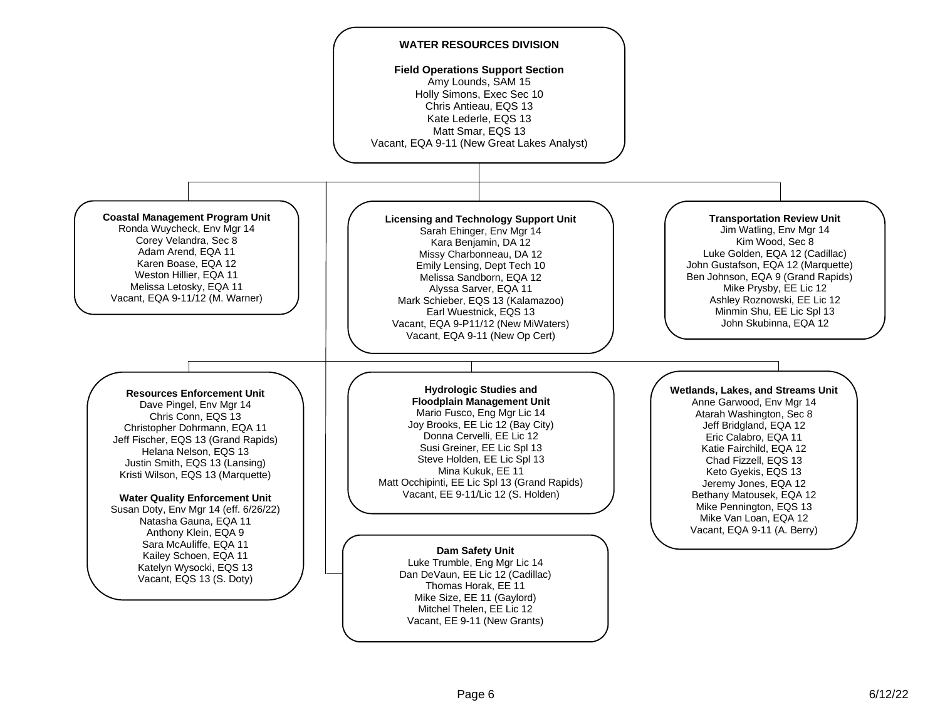